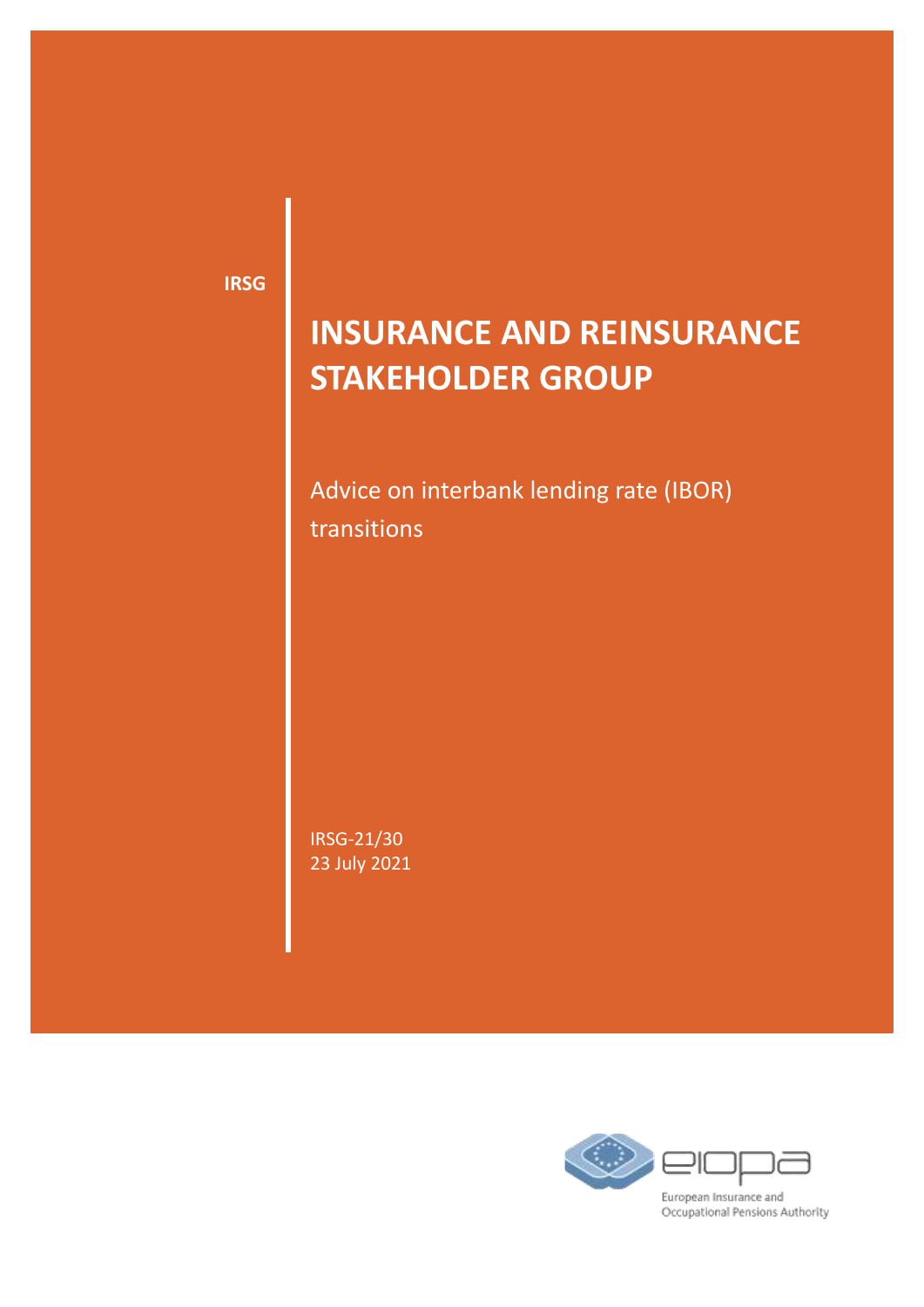**IRSG**

# **INSURANCE AND REINSURANCE STAKEHOLDER GROUP**

Advice on interbank lending rate (IBOR) transitions

IRSG-21/30 23 July 2021

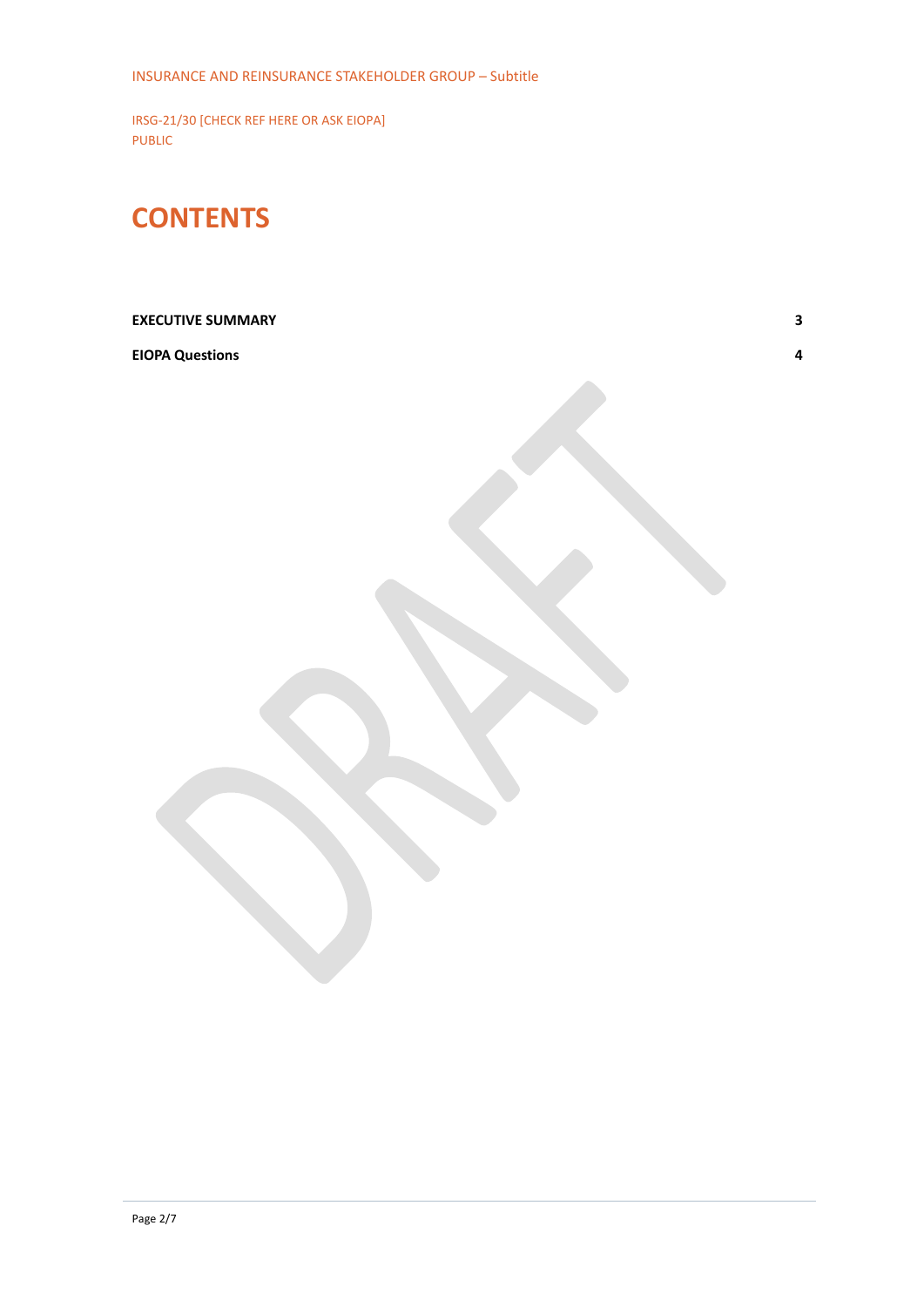## **CONTENTS**

### **[EXECUTIVE SUMMARY](#page-2-0) 3**

#### **[EIOPA Questions](#page-3-0) 4**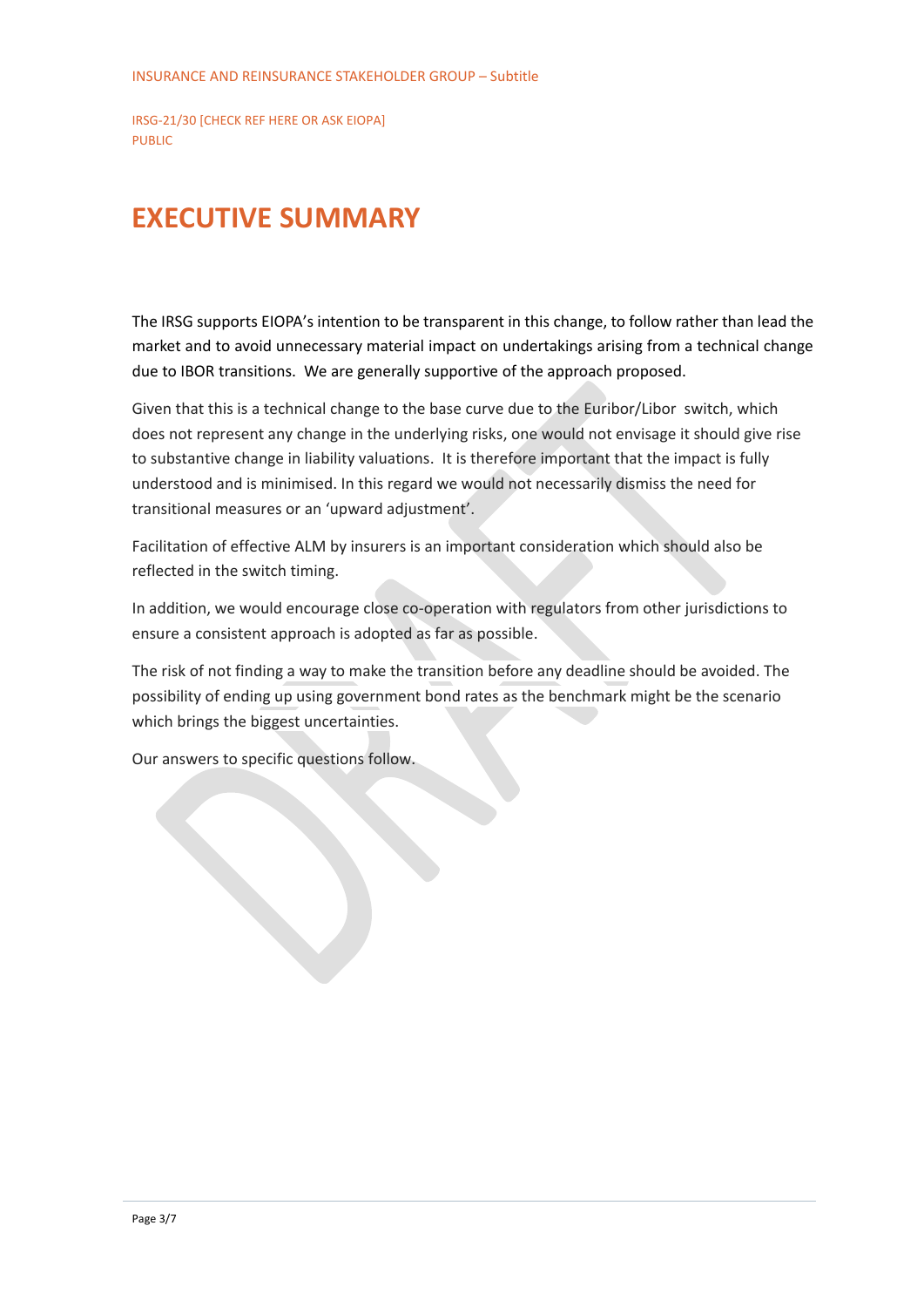### <span id="page-2-0"></span>**EXECUTIVE SUMMARY**

The IRSG supports EIOPA's intention to be transparent in this change, to follow rather than lead the market and to avoid unnecessary material impact on undertakings arising from a technical change due to IBOR transitions. We are generally supportive of the approach proposed.

Given that this is a technical change to the base curve due to the Euribor/Libor switch, which does not represent any change in the underlying risks, one would not envisage it should give rise to substantive change in liability valuations. It is therefore important that the impact is fully understood and is minimised. In this regard we would not necessarily dismiss the need for transitional measures or an 'upward adjustment'.

Facilitation of effective ALM by insurers is an important consideration which should also be reflected in the switch timing.

In addition, we would encourage close co-operation with regulators from other jurisdictions to ensure a consistent approach is adopted as far as possible.

The risk of not finding a way to make the transition before any deadline should be avoided. The possibility of ending up using government bond rates as the benchmark might be the scenario which brings the biggest uncertainties.

Our answers to specific questions follow.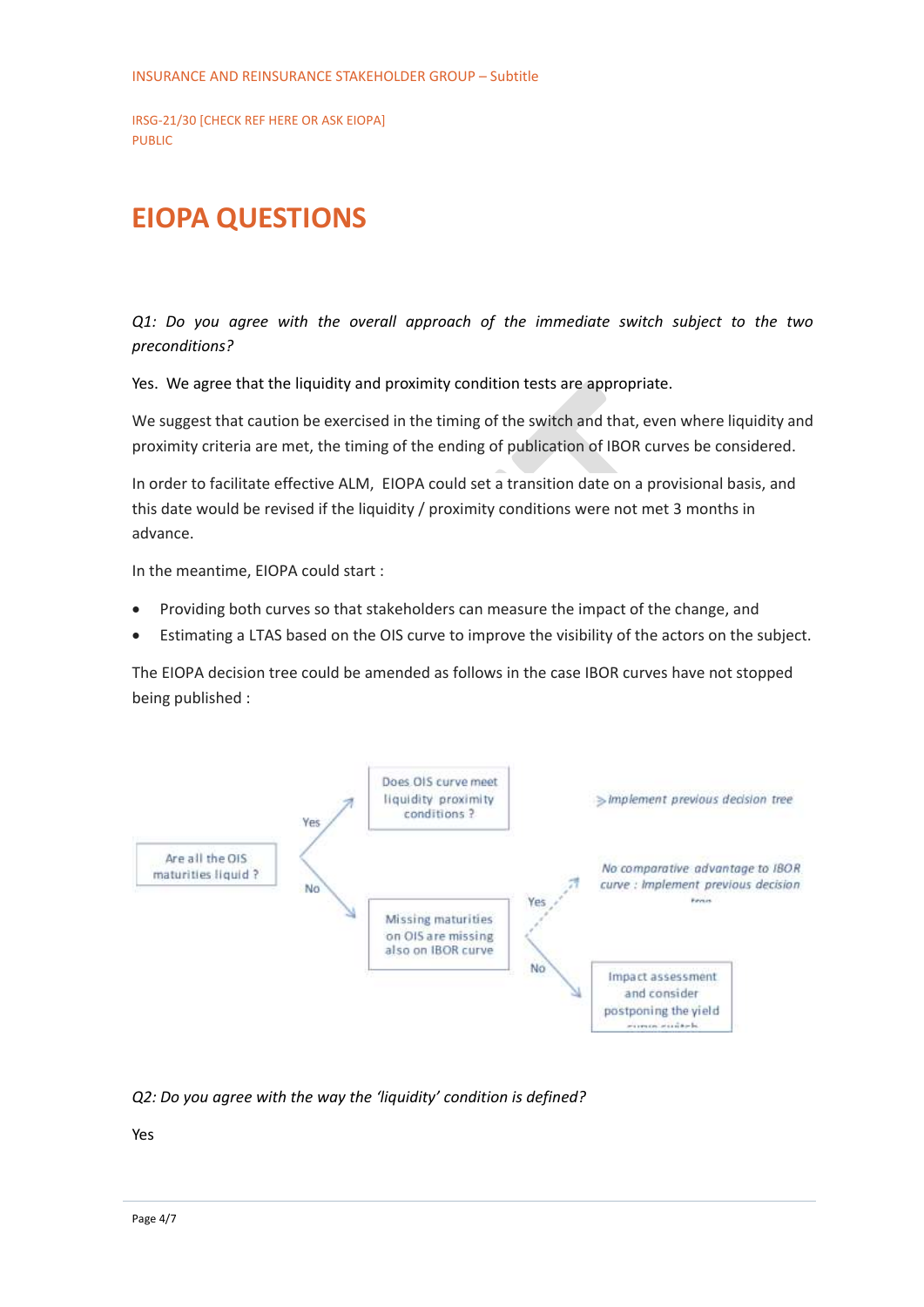## <span id="page-3-0"></span>**EIOPA QUESTIONS**

*Q1: Do you agree with the overall approach of the immediate switch subject to the two preconditions?* 

Yes. We agree that the liquidity and proximity condition tests are appropriate.

We suggest that caution be exercised in the timing of the switch and that, even where liquidity and proximity criteria are met, the timing of the ending of publication of IBOR curves be considered.

In order to facilitate effective ALM, EIOPA could set a transition date on a provisional basis, and this date would be revised if the liquidity / proximity conditions were not met 3 months in advance.

In the meantime, EIOPA could start :

- Providing both curves so that stakeholders can measure the impact of the change, and
- Estimating a LTAS based on the OIS curve to improve the visibility of the actors on the subject.

The EIOPA decision tree could be amended as follows in the case IBOR curves have not stopped being published :



*Q2: Do you agree with the way the 'liquidity' condition is defined?*

Yes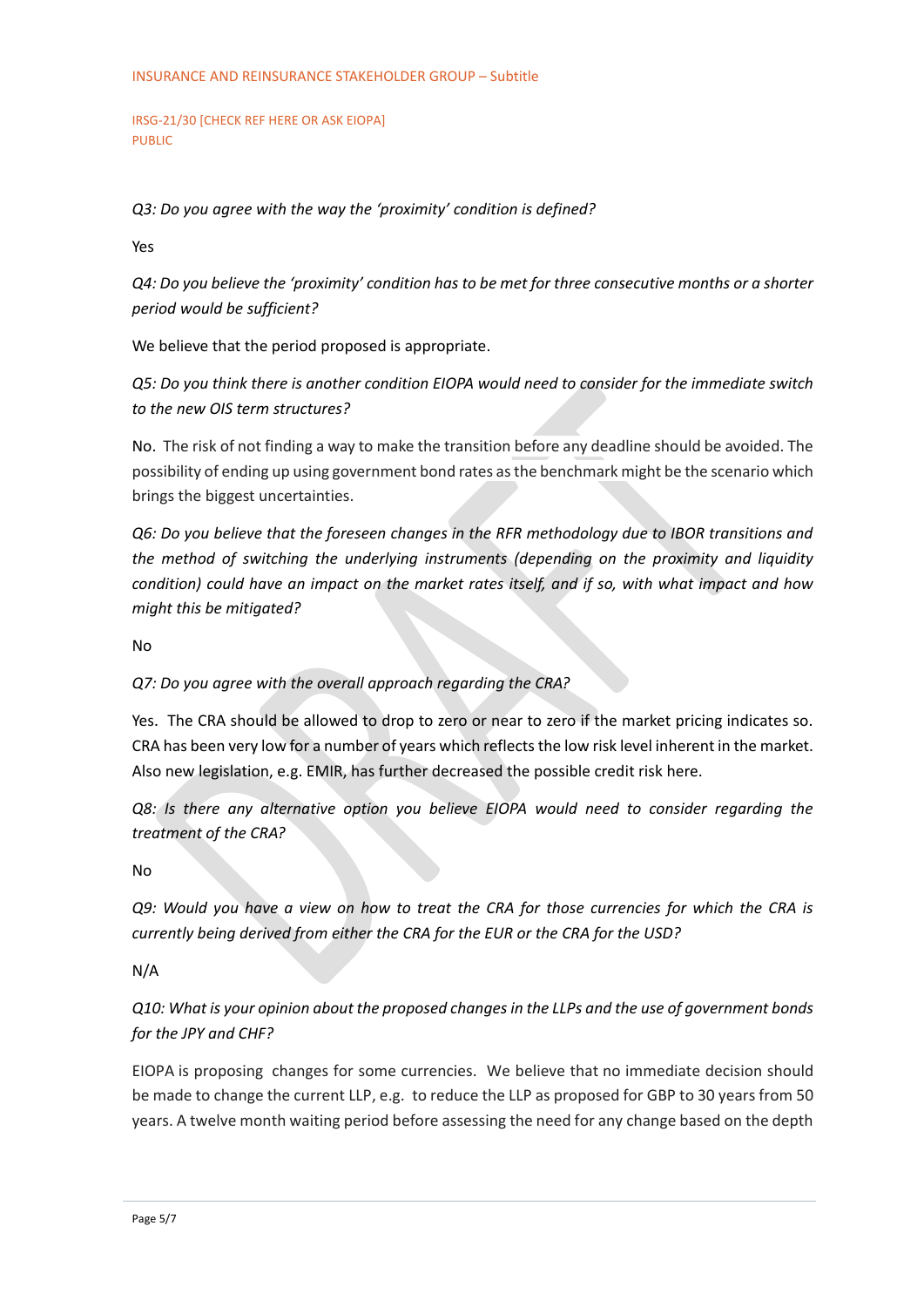*Q3: Do you agree with the way the 'proximity' condition is defined?* 

Yes

*Q4: Do you believe the 'proximity' condition has to be met for three consecutive months or a shorter period would be sufficient?* 

We believe that the period proposed is appropriate.

*Q5: Do you think there is another condition EIOPA would need to consider for the immediate switch to the new OIS term structures?* 

No. The risk of not finding a way to make the transition before any deadline should be avoided. The possibility of ending up using government bond rates as the benchmark might be the scenario which brings the biggest uncertainties.

*Q6: Do you believe that the foreseen changes in the RFR methodology due to IBOR transitions and the method of switching the underlying instruments (depending on the proximity and liquidity condition) could have an impact on the market rates itself, and if so, with what impact and how might this be mitigated?*

No

#### *Q7: Do you agree with the overall approach regarding the CRA?*

Yes. The CRA should be allowed to drop to zero or near to zero if the market pricing indicates so. CRA has been very low for a number of years which reflects the low risk level inherent in the market. Also new legislation, e.g. EMIR, has further decreased the possible credit risk here.

*Q8: Is there any alternative option you believe EIOPA would need to consider regarding the treatment of the CRA?*

No

*Q9: Would you have a view on how to treat the CRA for those currencies for which the CRA is currently being derived from either the CRA for the EUR or the CRA for the USD?*

N/A

*Q10: What is your opinion about the proposed changes in the LLPs and the use of government bonds for the JPY and CHF?* 

EIOPA is proposing changes for some currencies. We believe that no immediate decision should be made to change the current LLP, e.g. to reduce the LLP as proposed for GBP to 30 years from 50 years. A twelve month waiting period before assessing the need for any change based on the depth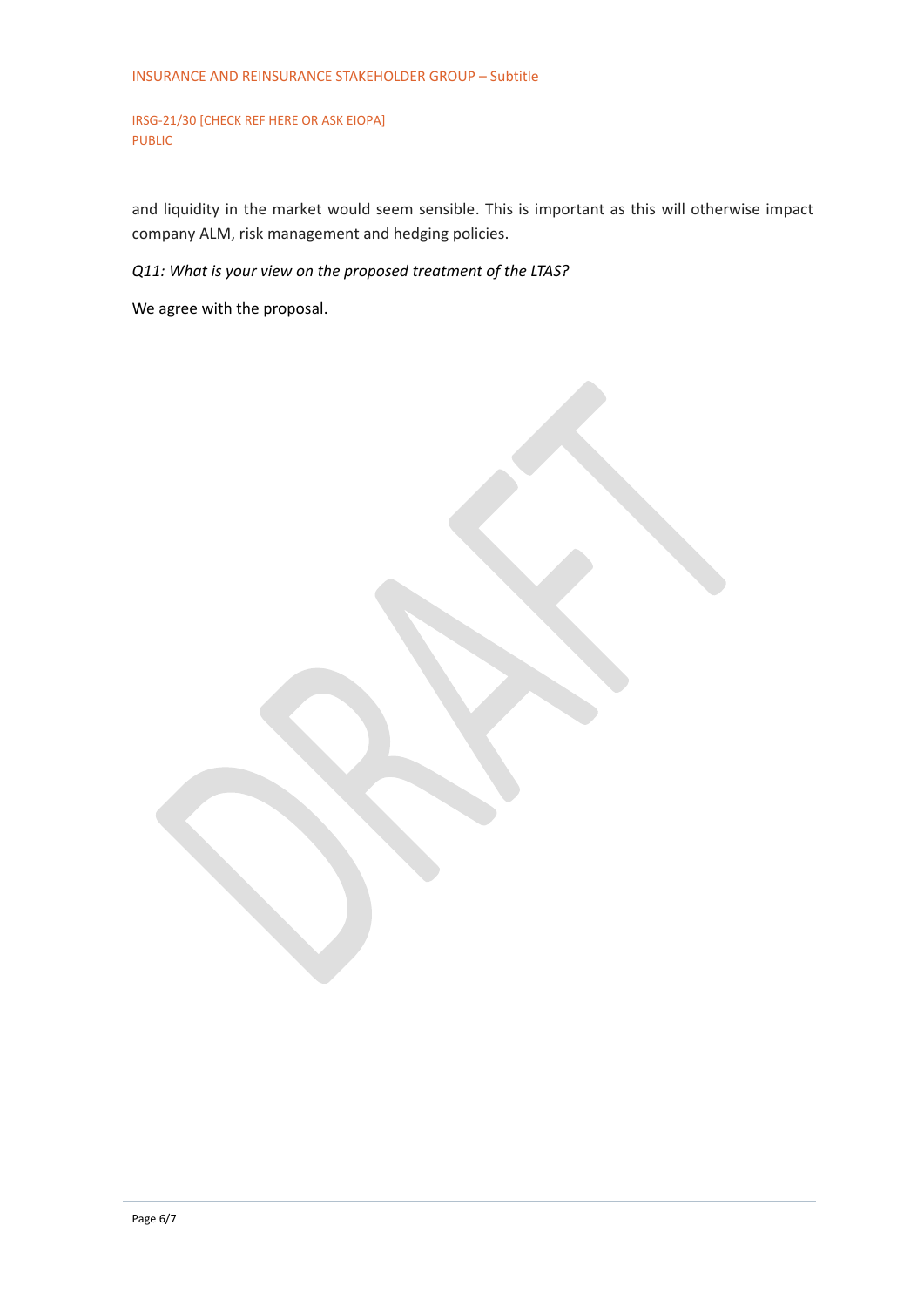and liquidity in the market would seem sensible. This is important as this will otherwise impact company ALM, risk management and hedging policies.

*Q11: What is your view on the proposed treatment of the LTAS?*

We agree with the proposal.